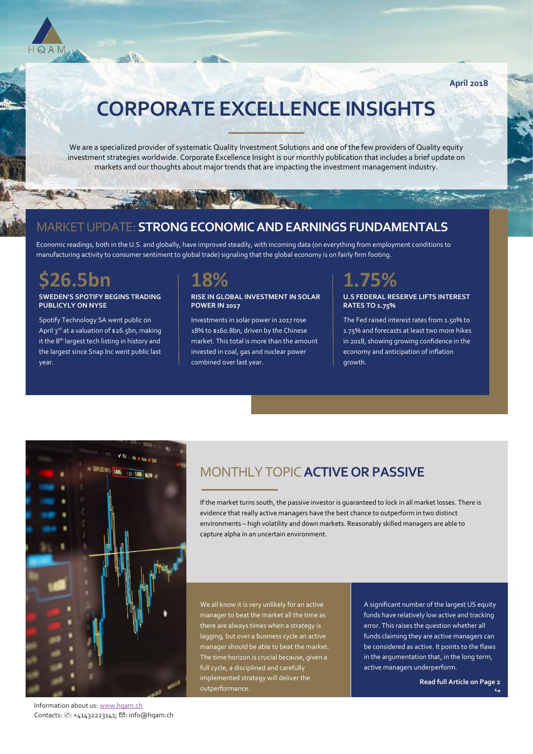

**April 2018**

# **CORPORATE EXCELLENCE INSIGHTS**

We are a specialized provider of systematic Quality Investment Solutions and one of the few providers of Quality equity investment strategies worldwide. Corporate Excellence Insight is our monthly publication that includes a brief update on markets and our thoughts about major trends that are impacting the investment management industry.

### MARKET UPDATE:**STRONG ECONOMIC AND EARNINGS FUNDAMENTALS**

Economic readings, both in the U.S. and globally, have improved steadily, with incoming data (on everything from employment conditions to manufacturing activity to consumer sentiment to global trade) signaling that the global economy is on fairly firm footing.

# **\$26.5bn**

### **SWEDEN'S SPOTIFY BEGINS TRADING PUBLICYLY ON NYSE**

 $-11$ 

Spotify Technology SA went public on April 3<sup>rd</sup> at a valuation of \$26.5bn, making it the 8<sup>th</sup> largest tech listing in history and the largest since Snap Inc went public last year.



#### **RISE IN GLOBAL INVESTMENT IN SOLAR POWER IN 2017**

Investments in solar power in 2017 rose 18% to \$160.8bn, driven by the Chinese market. This total is more than the amount invested in coal, gas and nuclear power combined over last year.

# **1.75%**

### **U.S FEDERAL RESERVE LIFTS INTEREST RATES TO 1.75%**

The Fed raised interest rates from 1.50% to 1.75% and forecasts at least two more hikes in 2018, showing growing confidence in the economy and anticipation of inflation growth.



MONTHLY TOPIC**ACTIVE OR PASSIVE**

If the market turns south, the passive investor is guaranteed to lock in all market losses. There is evidence that really active managers have the best chance to outperform in two distinct environments – high volatility and down markets. Reasonably skilled managers are able to capture alpha in an uncertain environment.

We all know it is very unlikely for an active manager to beat the market all the time as there are always times when a strategy is lagging, but over a business cycle an active manager should be able to beat the market. The time horizon is crucial because, given a full cycle, a disciplined and carefully implemented strategy will deliver the outperformance.

A significant number of the largest US equity funds have relatively low active and tracking error. This raises the question whether all funds claiming they are active managers can be considered as active. It points to the flaws in the argumentation that, in the long term, active managers underperform.

**Read full Article on Page 2** 

↪

Information about us[: www.hqam.ch](http://www.hqam.ch/) Contacts: ✆: +41432223141; ✉: info@hqam.ch